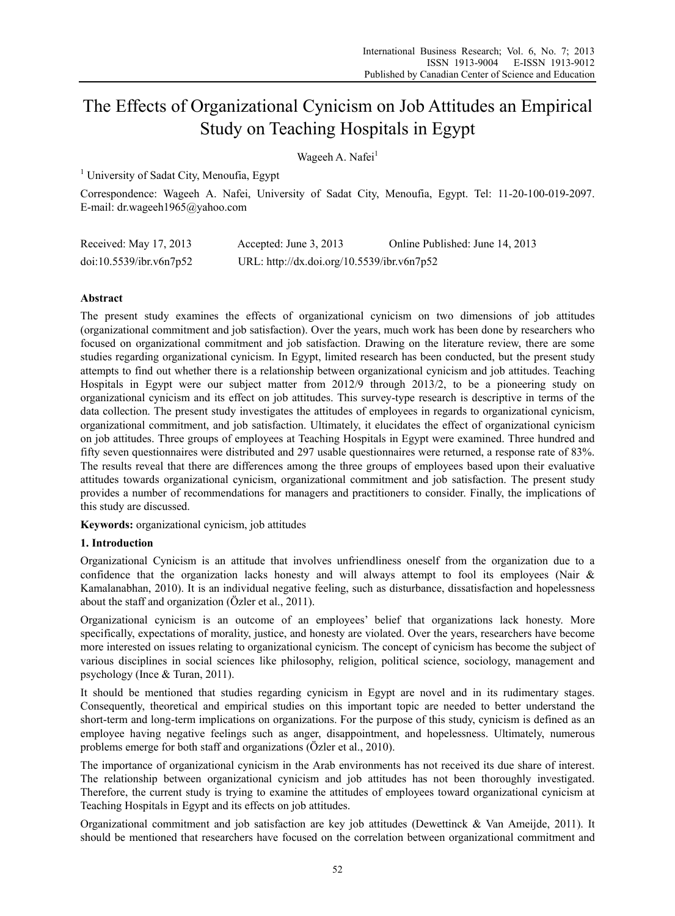# The Effects of Organizational Cynicism on Job Attitudes an Empirical Study on Teaching Hospitals in Egypt

Wageeh A. Nafei<sup>1</sup>

<sup>1</sup> University of Sadat City, Menoufia, Egypt

Correspondence: Wageeh A. Nafei, University of Sadat City, Menoufia, Egypt. Tel: 11-20-100-019-2097. E-mail: dr.wageeh1965@yahoo.com

| Received: May 17, 2013  | Accepted: June $3, 2013$                   | Online Published: June 14, 2013 |
|-------------------------|--------------------------------------------|---------------------------------|
| doi:10.5539/ibr.v6n7p52 | URL: http://dx.doi.org/10.5539/ibr.v6n7p52 |                                 |

# **Abstract**

The present study examines the effects of organizational cynicism on two dimensions of job attitudes (organizational commitment and job satisfaction). Over the years, much work has been done by researchers who focused on organizational commitment and job satisfaction. Drawing on the literature review, there are some studies regarding organizational cynicism. In Egypt, limited research has been conducted, but the present study attempts to find out whether there is a relationship between organizational cynicism and job attitudes. Teaching Hospitals in Egypt were our subject matter from 2012/9 through 2013/2, to be a pioneering study on organizational cynicism and its effect on job attitudes. This survey-type research is descriptive in terms of the data collection. The present study investigates the attitudes of employees in regards to organizational cynicism, organizational commitment, and job satisfaction. Ultimately, it elucidates the effect of organizational cynicism on job attitudes. Three groups of employees at Teaching Hospitals in Egypt were examined. Three hundred and fifty seven questionnaires were distributed and 297 usable questionnaires were returned, a response rate of 83%. The results reveal that there are differences among the three groups of employees based upon their evaluative attitudes towards organizational cynicism, organizational commitment and job satisfaction. The present study provides a number of recommendations for managers and practitioners to consider. Finally, the implications of this study are discussed.

**Keywords:** organizational cynicism, job attitudes

# **1. Introduction**

Organizational Cynicism is an attitude that involves unfriendliness oneself from the organization due to a confidence that the organization lacks honesty and will always attempt to fool its employees (Nair & Kamalanabhan, 2010). It is an individual negative feeling, such as disturbance, dissatisfaction and hopelessness about the staff and organization (Özler et al., 2011).

Organizational cynicism is an outcome of an employees' belief that organizations lack honesty. More specifically, expectations of morality, justice, and honesty are violated. Over the years, researchers have become more interested on issues relating to organizational cynicism. The concept of cynicism has become the subject of various disciplines in social sciences like philosophy, religion, political science, sociology, management and psychology (Ince & Turan, 2011).

It should be mentioned that studies regarding cynicism in Egypt are novel and in its rudimentary stages. Consequently, theoretical and empirical studies on this important topic are needed to better understand the short-term and long-term implications on organizations. For the purpose of this study, cynicism is defined as an employee having negative feelings such as anger, disappointment, and hopelessness. Ultimately, numerous problems emerge for both staff and organizations (Özler et al., 2010).

The importance of organizational cynicism in the Arab environments has not received its due share of interest. The relationship between organizational cynicism and job attitudes has not been thoroughly investigated. Therefore, the current study is trying to examine the attitudes of employees toward organizational cynicism at Teaching Hospitals in Egypt and its effects on job attitudes.

Organizational commitment and job satisfaction are key job attitudes (Dewettinck & Van Ameijde, 2011). It should be mentioned that researchers have focused on the correlation between organizational commitment and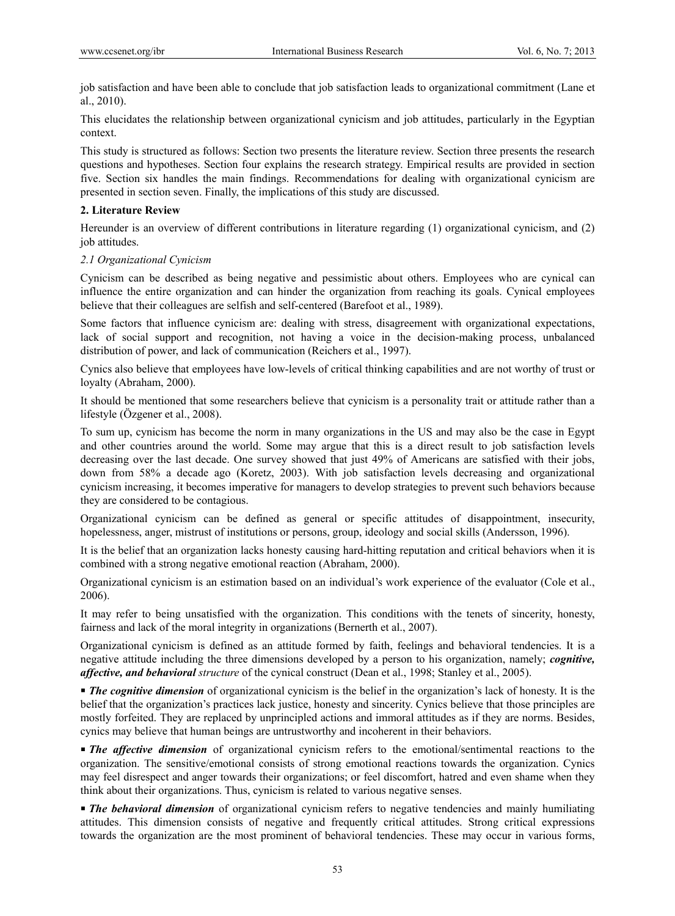job satisfaction and have been able to conclude that job satisfaction leads to organizational commitment (Lane et al., 2010).

This elucidates the relationship between organizational cynicism and job attitudes, particularly in the Egyptian context.

This study is structured as follows: Section two presents the literature review. Section three presents the research questions and hypotheses. Section four explains the research strategy. Empirical results are provided in section five. Section six handles the main findings. Recommendations for dealing with organizational cynicism are presented in section seven. Finally, the implications of this study are discussed.

## **2. Literature Review**

Hereunder is an overview of different contributions in literature regarding (1) organizational cynicism, and (2) job attitudes.

### *2.1 Organizational Cynicism*

Cynicism can be described as being negative and pessimistic about others. Employees who are cynical can influence the entire organization and can hinder the organization from reaching its goals. Cynical employees believe that their colleagues are selfish and self-centered (Barefoot et al., 1989).

Some factors that influence cynicism are: dealing with stress, disagreement with organizational expectations, lack of social support and recognition, not having a voice in the decision-making process, unbalanced distribution of power, and lack of communication (Reichers et al., 1997).

Cynics also believe that employees have low-levels of critical thinking capabilities and are not worthy of trust or loyalty (Abraham, 2000).

It should be mentioned that some researchers believe that cynicism is a personality trait or attitude rather than a lifestyle (Özgener et al., 2008).

To sum up, cynicism has become the norm in many organizations in the US and may also be the case in Egypt and other countries around the world. Some may argue that this is a direct result to job satisfaction levels decreasing over the last decade. One survey showed that just 49% of Americans are satisfied with their jobs, down from 58% a decade ago (Koretz, 2003). With job satisfaction levels decreasing and organizational cynicism increasing, it becomes imperative for managers to develop strategies to prevent such behaviors because they are considered to be contagious.

Organizational cynicism can be defined as general or specific attitudes of disappointment, insecurity, hopelessness, anger, mistrust of institutions or persons, group, ideology and social skills (Andersson, 1996).

It is the belief that an organization lacks honesty causing hard-hitting reputation and critical behaviors when it is combined with a strong negative emotional reaction (Abraham, 2000).

Organizational cynicism is an estimation based on an individual's work experience of the evaluator (Cole et al., 2006).

It may refer to being unsatisfied with the organization. This conditions with the tenets of sincerity, honesty, fairness and lack of the moral integrity in organizations (Bernerth et al., 2007).

Organizational cynicism is defined as an attitude formed by faith, feelings and behavioral tendencies. It is a negative attitude including the three dimensions developed by a person to his organization, namely; *cognitive, affective, and behavioral structure* of the cynical construct (Dean et al., 1998; Stanley et al., 2005).

**The cognitive dimension** of organizational cynicism is the belief in the organization's lack of honesty. It is the belief that the organization's practices lack justice, honesty and sincerity. Cynics believe that those principles are mostly forfeited. They are replaced by unprincipled actions and immoral attitudes as if they are norms. Besides, cynics may believe that human beings are untrustworthy and incoherent in their behaviors.

**The affective dimension** of organizational cynicism refers to the emotional/sentimental reactions to the organization. The sensitive/emotional consists of strong emotional reactions towards the organization. Cynics may feel disrespect and anger towards their organizations; or feel discomfort, hatred and even shame when they think about their organizations. Thus, cynicism is related to various negative senses.

**The behavioral dimension** of organizational cynicism refers to negative tendencies and mainly humiliating attitudes. This dimension consists of negative and frequently critical attitudes. Strong critical expressions towards the organization are the most prominent of behavioral tendencies. These may occur in various forms,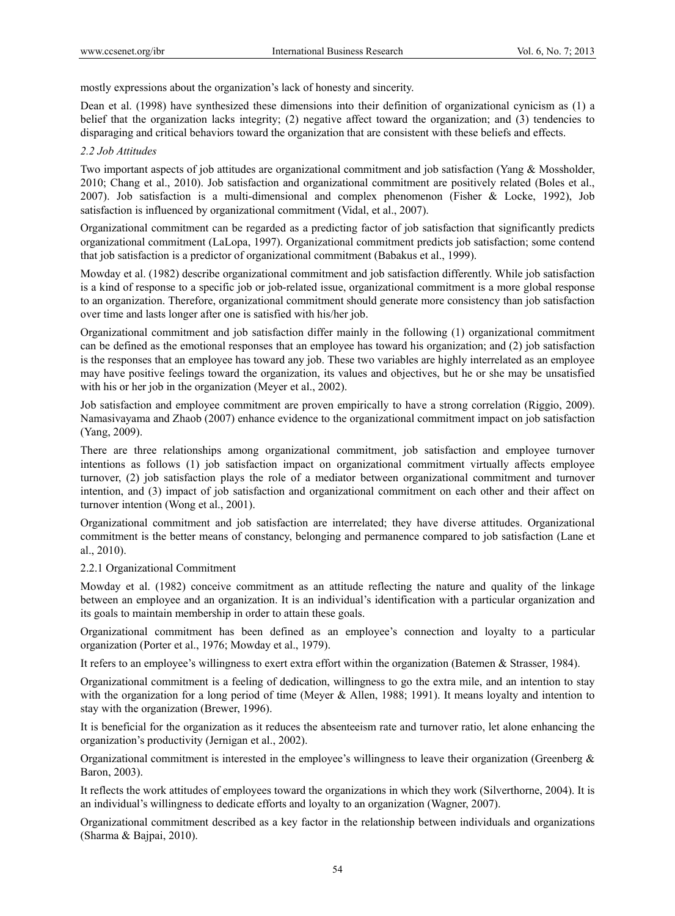mostly expressions about the organization's lack of honesty and sincerity.

Dean et al. (1998) have synthesized these dimensions into their definition of organizational cynicism as (1) a belief that the organization lacks integrity; (2) negative affect toward the organization; and (3) tendencies to disparaging and critical behaviors toward the organization that are consistent with these beliefs and effects.

## *2.2 Job Attitudes*

Two important aspects of job attitudes are organizational commitment and job satisfaction (Yang & Mossholder, 2010; Chang et al., 2010). Job satisfaction and organizational commitment are positively related (Boles et al., 2007). Job satisfaction is a multi-dimensional and complex phenomenon (Fisher & Locke, 1992), Job satisfaction is influenced by organizational commitment (Vidal, et al., 2007).

Organizational commitment can be regarded as a predicting factor of job satisfaction that significantly predicts organizational commitment (LaLopa, 1997). Organizational commitment predicts job satisfaction; some contend that job satisfaction is a predictor of organizational commitment (Babakus et al., 1999).

Mowday et al. (1982) describe organizational commitment and job satisfaction differently. While job satisfaction is a kind of response to a specific job or job-related issue, organizational commitment is a more global response to an organization. Therefore, organizational commitment should generate more consistency than job satisfaction over time and lasts longer after one is satisfied with his/her job.

Organizational commitment and job satisfaction differ mainly in the following (1) organizational commitment can be defined as the emotional responses that an employee has toward his organization; and (2) job satisfaction is the responses that an employee has toward any job. These two variables are highly interrelated as an employee may have positive feelings toward the organization, its values and objectives, but he or she may be unsatisfied with his or her job in the organization (Meyer et al., 2002).

Job satisfaction and employee commitment are proven empirically to have a strong correlation (Riggio, 2009). Namasivayama and Zhaob (2007) enhance evidence to the organizational commitment impact on job satisfaction (Yang, 2009).

There are three relationships among organizational commitment, job satisfaction and employee turnover intentions as follows (1) job satisfaction impact on organizational commitment virtually affects employee turnover, (2) job satisfaction plays the role of a mediator between organizational commitment and turnover intention, and (3) impact of job satisfaction and organizational commitment on each other and their affect on turnover intention (Wong et al., 2001).

Organizational commitment and job satisfaction are interrelated; they have diverse attitudes. Organizational commitment is the better means of constancy, belonging and permanence compared to job satisfaction (Lane et al., 2010).

### 2.2.1 Organizational Commitment

Mowday et al. (1982) conceive commitment as an attitude reflecting the nature and quality of the linkage between an employee and an organization. It is an individual's identification with a particular organization and its goals to maintain membership in order to attain these goals.

Organizational commitment has been defined as an employee's connection and loyalty to a particular organization (Porter et al., 1976; Mowday et al., 1979).

It refers to an employee's willingness to exert extra effort within the organization (Batemen & Strasser, 1984).

Organizational commitment is a feeling of dedication, willingness to go the extra mile, and an intention to stay with the organization for a long period of time (Meyer & Allen, 1988; 1991). It means loyalty and intention to stay with the organization (Brewer, 1996).

It is beneficial for the organization as it reduces the absenteeism rate and turnover ratio, let alone enhancing the organization's productivity (Jernigan et al., 2002).

Organizational commitment is interested in the employee's willingness to leave their organization (Greenberg  $\&$ Baron, 2003).

It reflects the work attitudes of employees toward the organizations in which they work (Silverthorne, 2004). It is an individual's willingness to dedicate efforts and loyalty to an organization (Wagner, 2007).

Organizational commitment described as a key factor in the relationship between individuals and organizations (Sharma & Bajpai, 2010).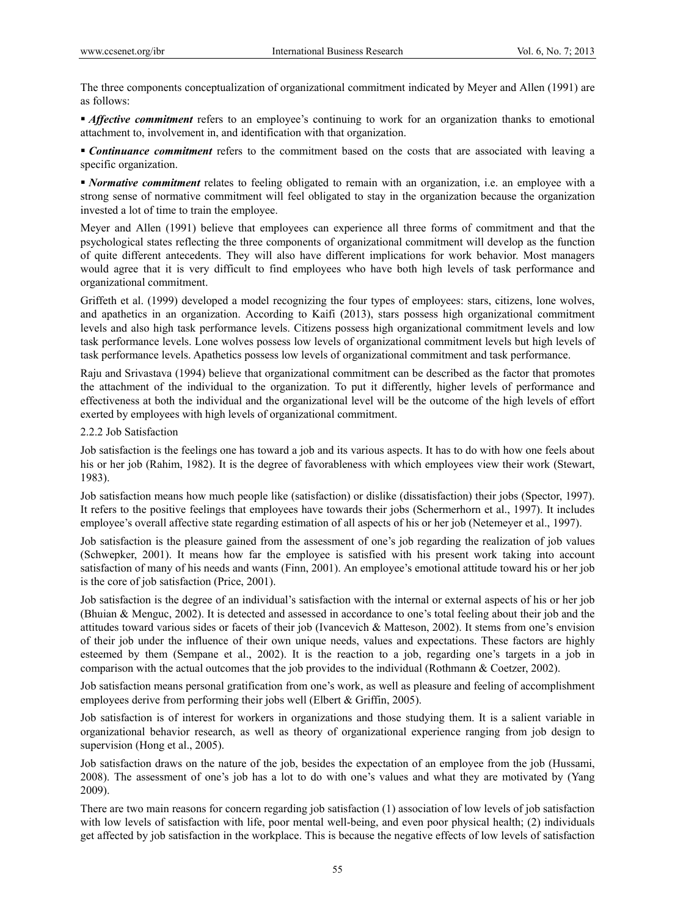The three components conceptualization of organizational commitment indicated by Meyer and Allen (1991) are as follows:

**Affective commitment** refers to an employee's continuing to work for an organization thanks to emotional attachment to, involvement in, and identification with that organization.

 *Continuance commitment* refers to the commitment based on the costs that are associated with leaving a specific organization.

 *Normative commitment* relates to feeling obligated to remain with an organization, i.e. an employee with a strong sense of normative commitment will feel obligated to stay in the organization because the organization invested a lot of time to train the employee.

Meyer and Allen (1991) believe that employees can experience all three forms of commitment and that the psychological states reflecting the three components of organizational commitment will develop as the function of quite different antecedents. They will also have different implications for work behavior. Most managers would agree that it is very difficult to find employees who have both high levels of task performance and organizational commitment.

Griffeth et al. (1999) developed a model recognizing the four types of employees: stars, citizens, lone wolves, and apathetics in an organization. According to Kaifi (2013), stars possess high organizational commitment levels and also high task performance levels. Citizens possess high organizational commitment levels and low task performance levels. Lone wolves possess low levels of organizational commitment levels but high levels of task performance levels. Apathetics possess low levels of organizational commitment and task performance.

Raju and Srivastava (1994) believe that organizational commitment can be described as the factor that promotes the attachment of the individual to the organization. To put it differently, higher levels of performance and effectiveness at both the individual and the organizational level will be the outcome of the high levels of effort exerted by employees with high levels of organizational commitment.

### 2.2.2 Job Satisfaction

Job satisfaction is the feelings one has toward a job and its various aspects. It has to do with how one feels about his or her job (Rahim, 1982). It is the degree of favorableness with which employees view their work (Stewart, 1983).

Job satisfaction means how much people like (satisfaction) or dislike (dissatisfaction) their jobs (Spector, 1997). It refers to the positive feelings that employees have towards their jobs (Schermerhorn et al., 1997). It includes employee's overall affective state regarding estimation of all aspects of his or her job (Netemeyer et al., 1997).

Job satisfaction is the pleasure gained from the assessment of one's job regarding the realization of job values (Schwepker, 2001). It means how far the employee is satisfied with his present work taking into account satisfaction of many of his needs and wants (Finn, 2001). An employee's emotional attitude toward his or her job is the core of job satisfaction (Price, 2001).

Job satisfaction is the degree of an individual's satisfaction with the internal or external aspects of his or her job (Bhuian & Menguc, 2002). It is detected and assessed in accordance to one's total feeling about their job and the attitudes toward various sides or facets of their job (Ivancevich & Matteson, 2002). It stems from one's envision of their job under the influence of their own unique needs, values and expectations. These factors are highly esteemed by them (Sempane et al., 2002). It is the reaction to a job, regarding one's targets in a job in comparison with the actual outcomes that the job provides to the individual (Rothmann & Coetzer, 2002).

Job satisfaction means personal gratification from one's work, as well as pleasure and feeling of accomplishment employees derive from performing their jobs well (Elbert & Griffin, 2005).

Job satisfaction is of interest for workers in organizations and those studying them. It is a salient variable in organizational behavior research, as well as theory of organizational experience ranging from job design to supervision (Hong et al., 2005).

Job satisfaction draws on the nature of the job, besides the expectation of an employee from the job (Hussami, 2008). The assessment of one's job has a lot to do with one's values and what they are motivated by (Yang 2009).

There are two main reasons for concern regarding job satisfaction (1) association of low levels of job satisfaction with low levels of satisfaction with life, poor mental well-being, and even poor physical health; (2) individuals get affected by job satisfaction in the workplace. This is because the negative effects of low levels of satisfaction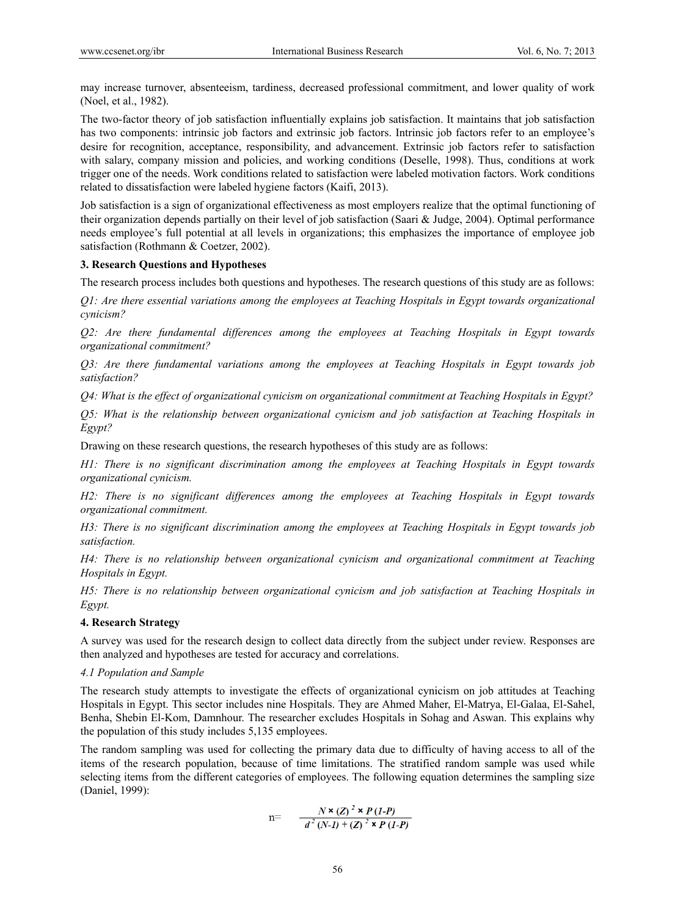may increase turnover, absenteeism, tardiness, decreased professional commitment, and lower quality of work (Noel, et al., 1982).

The two-factor theory of job satisfaction influentially explains job satisfaction. It maintains that job satisfaction has two components: intrinsic job factors and extrinsic job factors. Intrinsic job factors refer to an employee's desire for recognition, acceptance, responsibility, and advancement. Extrinsic job factors refer to satisfaction with salary, company mission and policies, and working conditions (Deselle, 1998). Thus, conditions at work trigger one of the needs. Work conditions related to satisfaction were labeled motivation factors. Work conditions related to dissatisfaction were labeled hygiene factors (Kaifi, 2013).

Job satisfaction is a sign of organizational effectiveness as most employers realize that the optimal functioning of their organization depends partially on their level of job satisfaction (Saari & Judge, 2004). Optimal performance needs employee's full potential at all levels in organizations; this emphasizes the importance of employee job satisfaction (Rothmann & Coetzer, 2002).

#### **3. Research Questions and Hypotheses**

The research process includes both questions and hypotheses. The research questions of this study are as follows:

*Q1: Are there essential variations among the employees at Teaching Hospitals in Egypt towards organizational cynicism?* 

*Q2: Are there fundamental differences among the employees at Teaching Hospitals in Egypt towards organizational commitment?* 

*Q3: Are there fundamental variations among the employees at Teaching Hospitals in Egypt towards job satisfaction?* 

*Q4: What is the effect of organizational cynicism on organizational commitment at Teaching Hospitals in Egypt?* 

*Q5: What is the relationship between organizational cynicism and job satisfaction at Teaching Hospitals in Egypt?* 

Drawing on these research questions, the research hypotheses of this study are as follows:

*H1: There is no significant discrimination among the employees at Teaching Hospitals in Egypt towards organizational cynicism.* 

*H2: There is no significant differences among the employees at Teaching Hospitals in Egypt towards organizational commitment.* 

*H3: There is no significant discrimination among the employees at Teaching Hospitals in Egypt towards job satisfaction.* 

*H4: There is no relationship between organizational cynicism and organizational commitment at Teaching Hospitals in Egypt.* 

*H5: There is no relationship between organizational cynicism and job satisfaction at Teaching Hospitals in Egypt.* 

### **4. Research Strategy**

A survey was used for the research design to collect data directly from the subject under review. Responses are then analyzed and hypotheses are tested for accuracy and correlations.

#### *4.1 Population and Sample*

The research study attempts to investigate the effects of organizational cynicism on job attitudes at Teaching Hospitals in Egypt. This sector includes nine Hospitals. They are Ahmed Maher, El-Matrya, El-Galaa, El-Sahel, Benha, Shebin El-Kom, Damnhour. The researcher excludes Hospitals in Sohag and Aswan. This explains why the population of this study includes 5,135 employees.

The random sampling was used for collecting the primary data due to difficulty of having access to all of the items of the research population, because of time limitations. The stratified random sample was used while selecting items from the different categories of employees. The following equation determines the sampling size (Daniel, 1999):

$$
n = \frac{N \times (Z)^2 \times P (1-P)}{d^2 (N-I) + (Z)^2 \times P (1-P)}
$$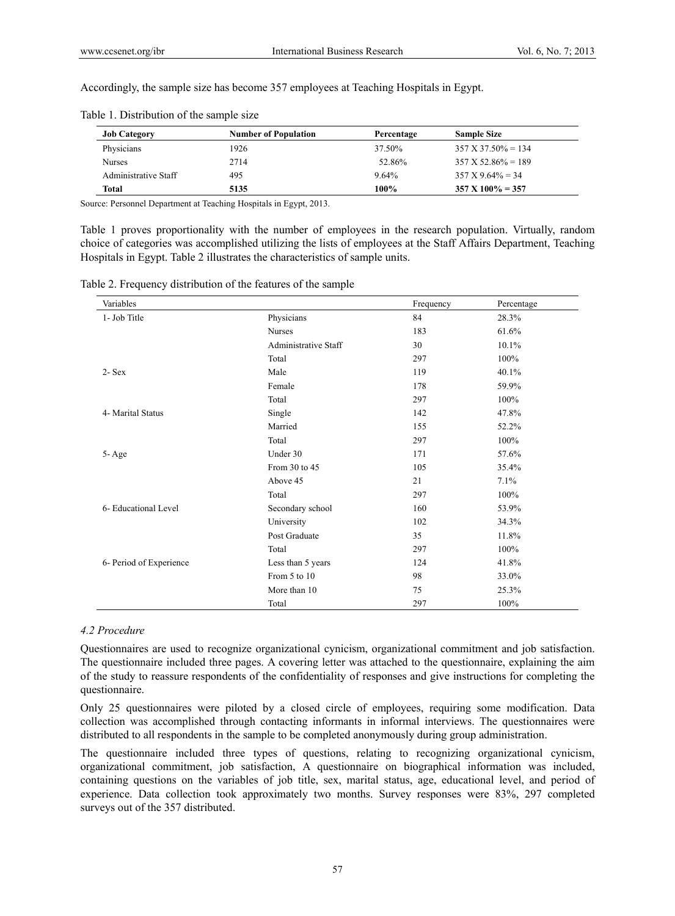Accordingly, the sample size has become 357 employees at Teaching Hospitals in Egypt.

| <b>Job Category</b>  | <b>Number of Population</b> | Percentage | <b>Sample Size</b>             |  |
|----------------------|-----------------------------|------------|--------------------------------|--|
| Physicians           | 1926                        | 37.50%     | $357 \text{ X } 37.50\% = 134$ |  |
| <b>Nurses</b>        | 2714                        | 52.86%     | $357 \text{ X } 52.86\% = 189$ |  |
| Administrative Staff | 495                         | 9.64%      | $357 \text{ X } 9.64\% = 34$   |  |
| Total                | 5135                        | 100%       | $357 \text{ X} 100\% = 357$    |  |

Table 1. Distribution of the sample size

Source: Personnel Department at Teaching Hospitals in Egypt, 2013.

Table 1 proves proportionality with the number of employees in the research population. Virtually, random choice of categories was accomplished utilizing the lists of employees at the Staff Affairs Department, Teaching Hospitals in Egypt. Table 2 illustrates the characteristics of sample units.

Table 2. Frequency distribution of the features of the sample

| Variables               |                      | Frequency | Percentage |
|-------------------------|----------------------|-----------|------------|
| 1- Job Title            | Physicians           | 84        | 28.3%      |
|                         | <b>Nurses</b>        | 183       | 61.6%      |
|                         | Administrative Staff | 30        | 10.1%      |
|                         | Total                | 297       | 100%       |
| $2 - Sex$               | Male                 | 119       | 40.1%      |
|                         | Female               | 178       | 59.9%      |
|                         | Total                | 297       | 100%       |
| 4- Marital Status       | Single               | 142       | 47.8%      |
|                         | Married              | 155       | 52.2%      |
|                         | Total                | 297       | 100%       |
| $5 - Age$               | Under 30             | 171       | 57.6%      |
|                         | From 30 to 45        | 105       | 35.4%      |
|                         | Above 45             | 21        | 7.1%       |
|                         | Total                | 297       | 100%       |
| 6- Educational Level    | Secondary school     | 160       | 53.9%      |
|                         | University           | 102       | 34.3%      |
|                         | Post Graduate        | 35        | 11.8%      |
|                         | Total                | 297       | 100%       |
| 6- Period of Experience | Less than 5 years    | 124       | 41.8%      |
|                         | From 5 to 10         | 98        | 33.0%      |
|                         | More than 10         | 75        | 25.3%      |
|                         | Total                | 297       | 100%       |

### *4.2 Procedure*

Questionnaires are used to recognize organizational cynicism, organizational commitment and job satisfaction. The questionnaire included three pages. A covering letter was attached to the questionnaire, explaining the aim of the study to reassure respondents of the confidentiality of responses and give instructions for completing the questionnaire.

Only 25 questionnaires were piloted by a closed circle of employees, requiring some modification. Data collection was accomplished through contacting informants in informal interviews. The questionnaires were distributed to all respondents in the sample to be completed anonymously during group administration.

The questionnaire included three types of questions, relating to recognizing organizational cynicism, organizational commitment, job satisfaction, A questionnaire on biographical information was included, containing questions on the variables of job title, sex, marital status, age, educational level, and period of experience. Data collection took approximately two months. Survey responses were 83%, 297 completed surveys out of the 357 distributed.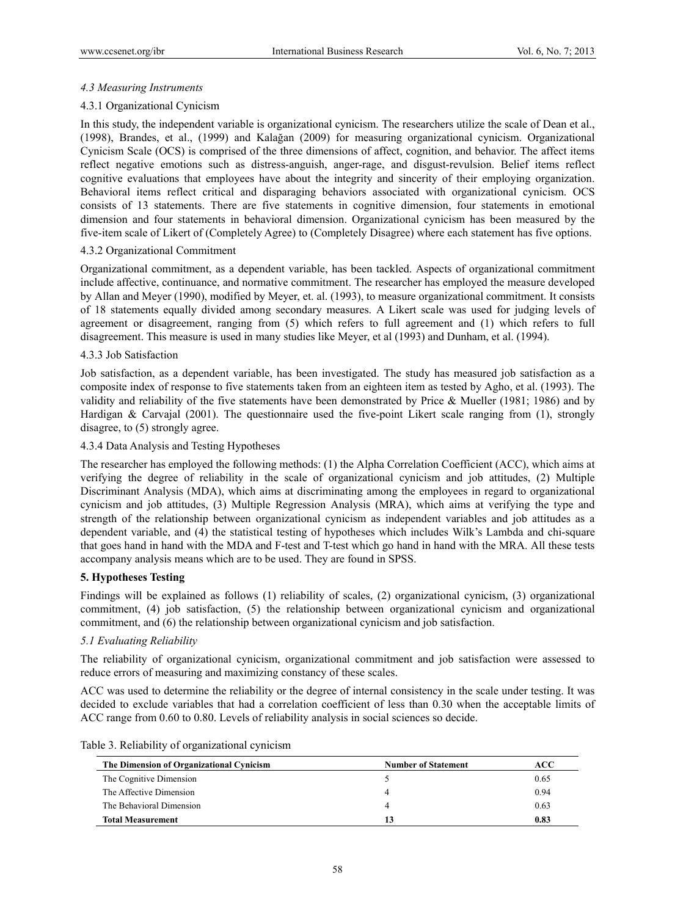## *4.3 Measuring Instruments*

## 4.3.1 Organizational Cynicism

In this study, the independent variable is organizational cynicism. The researchers utilize the scale of Dean et al., (1998), Brandes, et al., (1999) and Kalağan (2009) for measuring organizational cynicism. Organizational Cynicism Scale (OCS) is comprised of the three dimensions of affect, cognition, and behavior. The affect items reflect negative emotions such as distress-anguish, anger-rage, and disgust-revulsion. Belief items reflect cognitive evaluations that employees have about the integrity and sincerity of their employing organization. Behavioral items reflect critical and disparaging behaviors associated with organizational cynicism. OCS consists of 13 statements. There are five statements in cognitive dimension, four statements in emotional dimension and four statements in behavioral dimension. Organizational cynicism has been measured by the five-item scale of Likert of (Completely Agree) to (Completely Disagree) where each statement has five options.

## 4.3.2 Organizational Commitment

Organizational commitment, as a dependent variable, has been tackled. Aspects of organizational commitment include affective, continuance, and normative commitment. The researcher has employed the measure developed by Allan and Meyer (1990), modified by Meyer, et. al. (1993), to measure organizational commitment. It consists of 18 statements equally divided among secondary measures. A Likert scale was used for judging levels of agreement or disagreement, ranging from (5) which refers to full agreement and (1) which refers to full disagreement. This measure is used in many studies like Meyer, et al (1993) and Dunham, et al. (1994).

## 4.3.3 Job Satisfaction

Job satisfaction, as a dependent variable, has been investigated. The study has measured job satisfaction as a composite index of response to five statements taken from an eighteen item as tested by Agho, et al. (1993). The validity and reliability of the five statements have been demonstrated by Price & Mueller (1981; 1986) and by Hardigan & Carvajal (2001). The questionnaire used the five-point Likert scale ranging from (1), strongly disagree, to (5) strongly agree.

## 4.3.4 Data Analysis and Testing Hypotheses

The researcher has employed the following methods: (1) the Alpha Correlation Coefficient (ACC), which aims at verifying the degree of reliability in the scale of organizational cynicism and job attitudes, (2) Multiple Discriminant Analysis (MDA), which aims at discriminating among the employees in regard to organizational cynicism and job attitudes, (3) Multiple Regression Analysis (MRA), which aims at verifying the type and strength of the relationship between organizational cynicism as independent variables and job attitudes as a dependent variable, and (4) the statistical testing of hypotheses which includes Wilk's Lambda and chi-square that goes hand in hand with the MDA and F-test and T-test which go hand in hand with the MRA. All these tests accompany analysis means which are to be used. They are found in SPSS.

## **5. Hypotheses Testing**

Findings will be explained as follows (1) reliability of scales, (2) organizational cynicism, (3) organizational commitment, (4) job satisfaction, (5) the relationship between organizational cynicism and organizational commitment, and (6) the relationship between organizational cynicism and job satisfaction.

### *5.1 Evaluating Reliability*

The reliability of organizational cynicism, organizational commitment and job satisfaction were assessed to reduce errors of measuring and maximizing constancy of these scales.

ACC was used to determine the reliability or the degree of internal consistency in the scale under testing. It was decided to exclude variables that had a correlation coefficient of less than 0.30 when the acceptable limits of ACC range from 0.60 to 0.80. Levels of reliability analysis in social sciences so decide.

| The Dimension of Organizational Cynicism | <b>Number of Statement</b> | ACC  |
|------------------------------------------|----------------------------|------|
| The Cognitive Dimension                  |                            | 0.65 |
| The Affective Dimension                  |                            | 0.94 |
| The Behavioral Dimension                 |                            | 0.63 |
| <b>Total Measurement</b>                 | 13                         | 0.83 |

Table 3. Reliability of organizational cynicism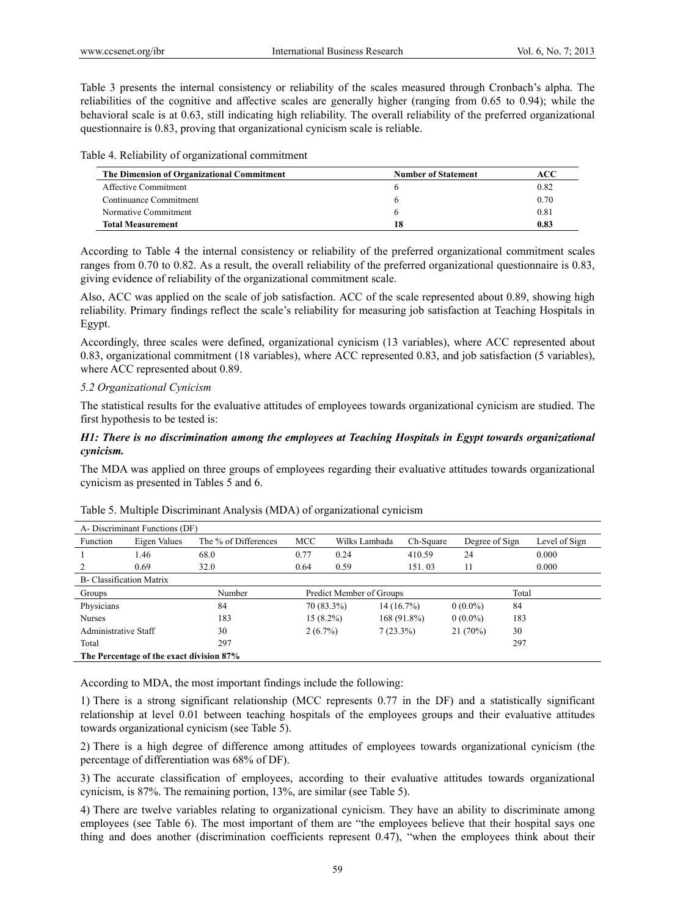Table 3 presents the internal consistency or reliability of the scales measured through Cronbach's alpha. The reliabilities of the cognitive and affective scales are generally higher (ranging from 0.65 to 0.94); while the behavioral scale is at 0.63, still indicating high reliability. The overall reliability of the preferred organizational questionnaire is 0.83, proving that organizational cynicism scale is reliable.

| Table 4. Reliability of organizational commitment |  |  |
|---------------------------------------------------|--|--|
|---------------------------------------------------|--|--|

| The Dimension of Organizational Commitment | <b>Number of Statement</b> | ACC  |
|--------------------------------------------|----------------------------|------|
| Affective Commitment                       |                            | 0.82 |
| Continuance Commitment                     |                            | 0.70 |
| Normative Commitment                       |                            | 0.81 |
| <b>Total Measurement</b>                   | 18                         | 0.83 |

According to Table 4 the internal consistency or reliability of the preferred organizational commitment scales ranges from 0.70 to 0.82. As a result, the overall reliability of the preferred organizational questionnaire is 0.83, giving evidence of reliability of the organizational commitment scale.

Also, ACC was applied on the scale of job satisfaction. ACC of the scale represented about 0.89, showing high reliability. Primary findings reflect the scale's reliability for measuring job satisfaction at Teaching Hospitals in Egypt.

Accordingly, three scales were defined, organizational cynicism (13 variables), where ACC represented about 0.83, organizational commitment (18 variables), where ACC represented 0.83, and job satisfaction (5 variables), where ACC represented about 0.89.

### *5.2 Organizational Cynicism*

The statistical results for the evaluative attitudes of employees towards organizational cynicism are studied. The first hypothesis to be tested is:

## *H1: There is no discrimination among the employees at Teaching Hospitals in Egypt towards organizational cynicism.*

The MDA was applied on three groups of employees regarding their evaluative attitudes towards organizational cynicism as presented in Tables 5 and 6.

|                                  | A- Discriminant Functions (DF)           |                      |                          |               |             |                |               |
|----------------------------------|------------------------------------------|----------------------|--------------------------|---------------|-------------|----------------|---------------|
| Function                         | Eigen Values                             | The % of Differences | <b>MCC</b>               | Wilks Lambada | Ch-Square   | Degree of Sign | Level of Sign |
|                                  | 1.46                                     | 68.0                 | 0.77                     | 0.24          | 410.59      | 24             | 0.000         |
|                                  | 0.69                                     | 32.0                 | 0.64                     | 0.59          | 151.03      | 11             | 0.000         |
| <b>B</b> - Classification Matrix |                                          |                      |                          |               |             |                |               |
| Groups                           |                                          | Number               | Predict Member of Groups |               |             | Total          |               |
| Physicians                       |                                          | 84                   |                          | 70 (83.3%)    | 14(16.7%)   | $0(0.0\%)$     | 84            |
| <b>Nurses</b>                    |                                          | 183                  | $15(8.2\%)$              |               | 168 (91.8%) | $0(0.0\%)$     | 183           |
| Administrative Staff             |                                          | 30                   | $2(6.7\%)$               |               | $7(23.3\%)$ | 21(70%)        | 30            |
| Total                            |                                          | 297                  |                          |               |             |                | 297           |
|                                  | The Percentage of the exact division 87% |                      |                          |               |             |                |               |

#### Table 5. Multiple Discriminant Analysis (MDA) of organizational cynicism

According to MDA, the most important findings include the following:

1) There is a strong significant relationship (MCC represents 0.77 in the DF) and a statistically significant relationship at level 0.01 between teaching hospitals of the employees groups and their evaluative attitudes towards organizational cynicism (see Table 5).

2) There is a high degree of difference among attitudes of employees towards organizational cynicism (the percentage of differentiation was 68% of DF).

3) The accurate classification of employees, according to their evaluative attitudes towards organizational cynicism, is 87%. The remaining portion, 13%, are similar (see Table 5).

4) There are twelve variables relating to organizational cynicism. They have an ability to discriminate among employees (see Table 6). The most important of them are "the employees believe that their hospital says one thing and does another (discrimination coefficients represent 0.47), "when the employees think about their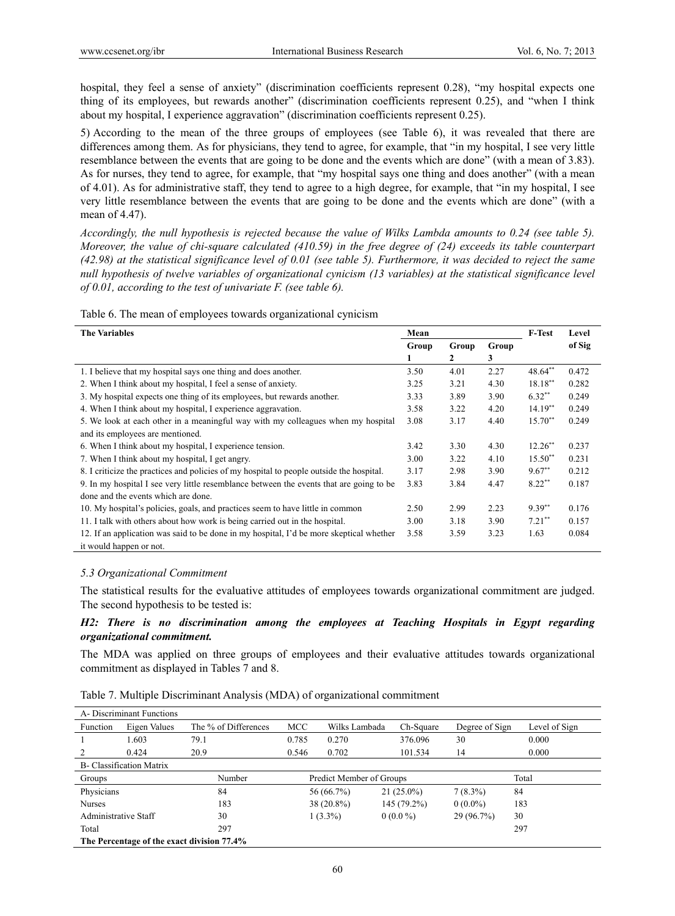hospital, they feel a sense of anxiety" (discrimination coefficients represent 0.28), "my hospital expects one thing of its employees, but rewards another" (discrimination coefficients represent 0.25), and "when I think about my hospital, I experience aggravation" (discrimination coefficients represent 0.25).

5) According to the mean of the three groups of employees (see Table 6), it was revealed that there are differences among them. As for physicians, they tend to agree, for example, that "in my hospital, I see very little resemblance between the events that are going to be done and the events which are done" (with a mean of 3.83). As for nurses, they tend to agree, for example, that "my hospital says one thing and does another" (with a mean of 4.01). As for administrative staff, they tend to agree to a high degree, for example, that "in my hospital, I see very little resemblance between the events that are going to be done and the events which are done" (with a mean of 4.47).

*Accordingly, the null hypothesis is rejected because the value of Wilks Lambda amounts to 0.24 (see table 5). Moreover, the value of chi-square calculated (410.59) in the free degree of (24) exceeds its table counterpart (42.98) at the statistical significance level of 0.01 (see table 5). Furthermore, it was decided to reject the same null hypothesis of twelve variables of organizational cynicism (13 variables) at the statistical significance level of 0.01, according to the test of univariate F. (see table 6).*

Table 6. The mean of employees towards organizational cynicism

| <b>The Variables</b>                                                                     | Mean  |       |       | F-Test     | Level  |  |
|------------------------------------------------------------------------------------------|-------|-------|-------|------------|--------|--|
|                                                                                          | Group | Group | Group |            | of Sig |  |
|                                                                                          |       | 2     | 3     |            |        |  |
| 1. I believe that my hospital says one thing and does another.                           | 3.50  | 4.01  | 2.27  | 48.64**    | 0.472  |  |
| 2. When I think about my hospital, I feel a sense of anxiety.                            | 3.25  | 3.21  | 4.30  | $18.18***$ | 0.282  |  |
| 3. My hospital expects one thing of its employees, but rewards another.                  | 3.33  | 3.89  | 3.90  | $6.32**$   | 0.249  |  |
| 4. When I think about my hospital, I experience aggravation.                             | 3.58  | 3.22  | 4.20  | $14.19**$  | 0.249  |  |
| 5. We look at each other in a meaningful way with my colleagues when my hospital         | 3.08  | 3.17  | 4.40  | $15.70**$  | 0.249  |  |
| and its employees are mentioned.                                                         |       |       |       |            |        |  |
| 6. When I think about my hospital, I experience tension.                                 | 3.42  | 3.30  | 4.30  | $12.26$ ** | 0.237  |  |
| 7. When I think about my hospital, I get angry.                                          | 3.00  | 3.22  | 4.10  | $15.50**$  | 0.231  |  |
| 8. I criticize the practices and policies of my hospital to people outside the hospital. | 3.17  | 2.98  | 3.90  | $9.67**$   | 0.212  |  |
| 9. In my hospital I see very little resemblance between the events that are going to be  | 3.83  | 3.84  | 4.47  | $8.22***$  | 0.187  |  |
| done and the events which are done.                                                      |       |       |       |            |        |  |
| 10. My hospital's policies, goals, and practices seem to have little in common           | 2.50  | 2.99  | 2.23  | $9.39***$  | 0.176  |  |
| 11. I talk with others about how work is being carried out in the hospital.              | 3.00  | 3.18  | 3.90  | $7.21$ **  | 0.157  |  |
| 12. If an application was said to be done in my hospital, I'd be more skeptical whether  | 3.58  | 3.59  | 3.23  | 1.63       | 0.084  |  |
| it would happen or not.                                                                  |       |       |       |            |        |  |

### *5.3 Organizational Commitment*

The statistical results for the evaluative attitudes of employees towards organizational commitment are judged. The second hypothesis to be tested is:

# *H2: There is no discrimination among the employees at Teaching Hospitals in Egypt regarding organizational commitment.*

The MDA was applied on three groups of employees and their evaluative attitudes towards organizational commitment as displayed in Tables 7 and 8.

|  | Table 7. Multiple Discriminant Analysis (MDA) of organizational commitment |  |
|--|----------------------------------------------------------------------------|--|
|  |                                                                            |  |

|                      | A-Discriminant Functions                   |                      |                          |               |               |                |               |
|----------------------|--------------------------------------------|----------------------|--------------------------|---------------|---------------|----------------|---------------|
| <b>Function</b>      | Eigen Values                               | The % of Differences | MCC                      | Wilks Lambada | Ch-Square     | Degree of Sign | Level of Sign |
|                      | 1.603                                      | 79.1                 | 0.785                    | 0.270         | 376.096       | 30             | 0.000         |
|                      | 0.424                                      | 20.9                 | 0.546                    | 0.702         | 101.534       | 14             | 0.000         |
|                      | B- Classification Matrix                   |                      |                          |               |               |                |               |
| Groups               |                                            | Number               | Predict Member of Groups |               | Total         |                |               |
| Physicians           |                                            | 84                   |                          | 56 (66.7%)    | $21(25.0\%)$  | $7(8.3\%)$     | 84            |
| <b>Nurses</b>        |                                            | 183                  |                          | $38(20.8\%)$  | $145(79.2\%)$ | $0(0.0\%)$     | 183           |
| Administrative Staff |                                            | 30                   |                          | $1(3.3\%)$    | $0(0.0\%)$    | 29(96.7%)      | 30            |
| Total                |                                            | 297                  |                          |               |               |                | 297           |
|                      | The Percentage of the exact division 77.4% |                      |                          |               |               |                |               |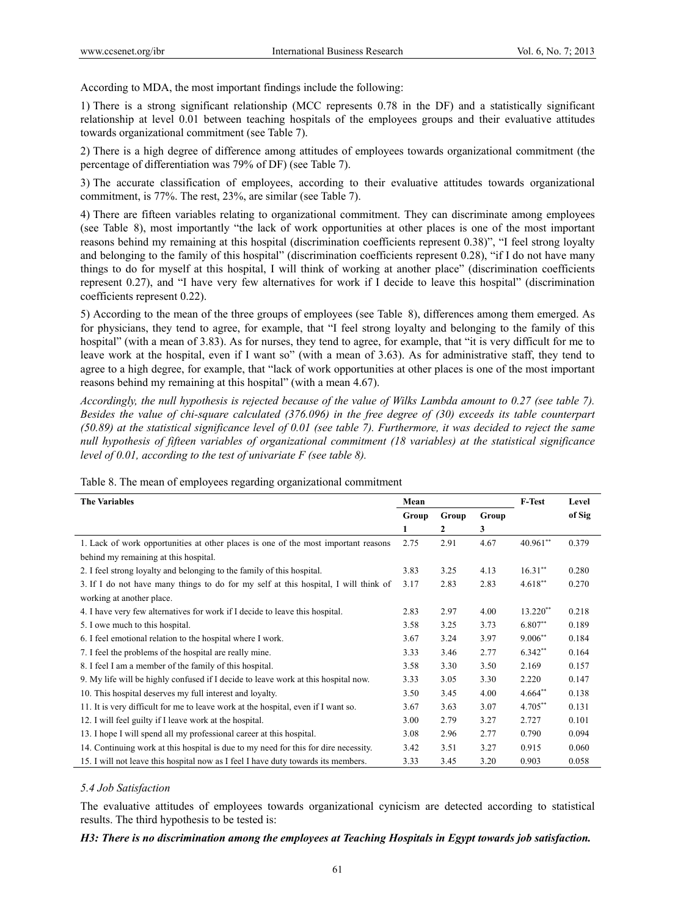According to MDA, the most important findings include the following:

1) There is a strong significant relationship (MCC represents 0.78 in the DF) and a statistically significant relationship at level 0.01 between teaching hospitals of the employees groups and their evaluative attitudes towards organizational commitment (see Table 7).

2) There is a high degree of difference among attitudes of employees towards organizational commitment (the percentage of differentiation was 79% of DF) (see Table 7).

3) The accurate classification of employees, according to their evaluative attitudes towards organizational commitment, is 77%. The rest, 23%, are similar (see Table 7).

4) There are fifteen variables relating to organizational commitment. They can discriminate among employees (see Table 8), most importantly "the lack of work opportunities at other places is one of the most important reasons behind my remaining at this hospital (discrimination coefficients represent 0.38)", "I feel strong loyalty and belonging to the family of this hospital" (discrimination coefficients represent 0.28), "if I do not have many things to do for myself at this hospital, I will think of working at another place" (discrimination coefficients represent 0.27), and "I have very few alternatives for work if I decide to leave this hospital" (discrimination coefficients represent 0.22).

5) According to the mean of the three groups of employees (see Table 8), differences among them emerged. As for physicians, they tend to agree, for example, that "I feel strong loyalty and belonging to the family of this hospital" (with a mean of 3.83). As for nurses, they tend to agree, for example, that "it is very difficult for me to leave work at the hospital, even if I want so" (with a mean of 3.63). As for administrative staff, they tend to agree to a high degree, for example, that "lack of work opportunities at other places is one of the most important reasons behind my remaining at this hospital" (with a mean 4.67).

*Accordingly, the null hypothesis is rejected because of the value of Wilks Lambda amount to 0.27 (see table 7). Besides the value of chi-square calculated (376.096) in the free degree of (30) exceeds its table counterpart (50.89) at the statistical significance level of 0.01 (see table 7). Furthermore, it was decided to reject the same null hypothesis of fifteen variables of organizational commitment (18 variables) at the statistical significance level of 0.01, according to the test of univariate F (see table 8).* 

| <b>The Variables</b>                                                                | Mean  |                | F-Test | Level      |        |
|-------------------------------------------------------------------------------------|-------|----------------|--------|------------|--------|
|                                                                                     | Group | Group          | Group  |            | of Sig |
|                                                                                     | 1     | $\overline{2}$ | 3      |            |        |
| 1. Lack of work opportunities at other places is one of the most important reasons  | 2.75  | 2.91           | 4.67   | $40.961**$ | 0.379  |
| behind my remaining at this hospital.                                               |       |                |        |            |        |
| 2. I feel strong loyalty and belonging to the family of this hospital.              | 3.83  | 3.25           | 4.13   | $16.31**$  | 0.280  |
| 3. If I do not have many things to do for my self at this hospital, I will think of | 3.17  | 2.83           | 2.83   | $4.618**$  | 0.270  |
| working at another place.                                                           |       |                |        |            |        |
| 4. I have very few alternatives for work if I decide to leave this hospital.        | 2.83  | 2.97           | 4.00   | $13.220**$ | 0.218  |
| 5. I owe much to this hospital.                                                     | 3.58  | 3.25           | 3.73   | $6.807**$  | 0.189  |
| 6. I feel emotional relation to the hospital where I work.                          | 3.67  | 3.24           | 3.97   | $9.006**$  | 0.184  |
| 7. I feel the problems of the hospital are really mine.                             | 3.33  | 3.46           | 2.77   | $6.342**$  | 0.164  |
| 8. I feel I am a member of the family of this hospital.                             | 3.58  | 3.30           | 3.50   | 2.169      | 0.157  |
| 9. My life will be highly confused if I decide to leave work at this hospital now.  | 3.33  | 3.05           | 3.30   | 2.220      | 0.147  |
| 10. This hospital deserves my full interest and loyalty.                            | 3.50  | 3.45           | 4.00   | $4.664**$  | 0.138  |
| 11. It is very difficult for me to leave work at the hospital, even if I want so.   | 3.67  | 3.63           | 3.07   | 4.705**    | 0.131  |
| 12. I will feel guilty if I leave work at the hospital.                             | 3.00  | 2.79           | 3.27   | 2.727      | 0.101  |
| 13. I hope I will spend all my professional career at this hospital.                | 3.08  | 2.96           | 2.77   | 0.790      | 0.094  |
| 14. Continuing work at this hospital is due to my need for this for dire necessity. | 3.42  | 3.51           | 3.27   | 0.915      | 0.060  |
| 15. I will not leave this hospital now as I feel I have duty towards its members.   | 3.33  | 3.45           | 3.20   | 0.903      | 0.058  |

Table 8. The mean of employees regarding organizational commitment

### *5.4 Job Satisfaction*

The evaluative attitudes of employees towards organizational cynicism are detected according to statistical results. The third hypothesis to be tested is:

### *H3: There is no discrimination among the employees at Teaching Hospitals in Egypt towards job satisfaction.*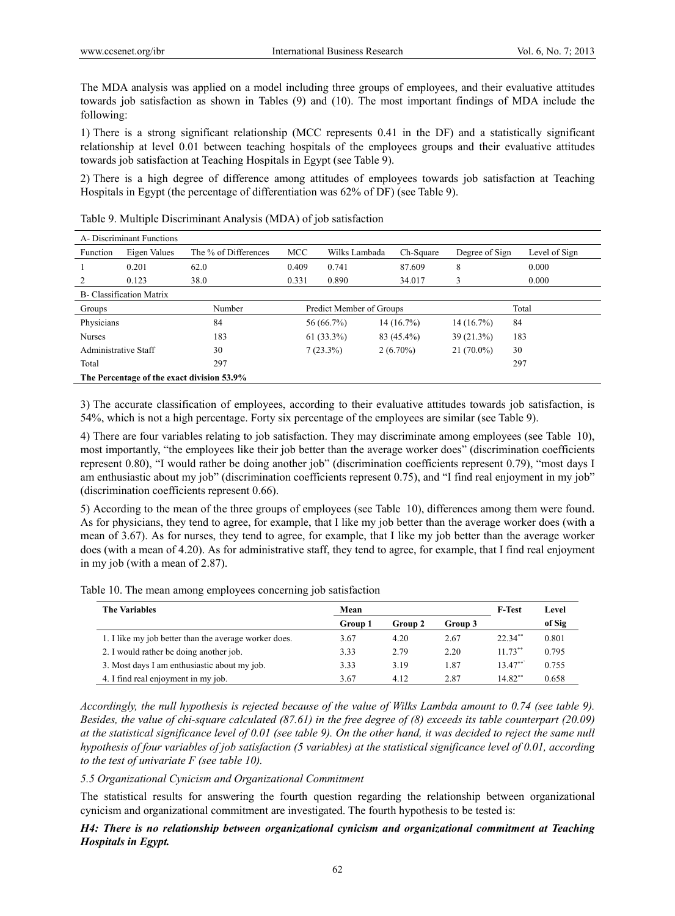The MDA analysis was applied on a model including three groups of employees, and their evaluative attitudes towards job satisfaction as shown in Tables (9) and (10). The most important findings of MDA include the following:

1) There is a strong significant relationship (MCC represents 0.41 in the DF) and a statistically significant relationship at level 0.01 between teaching hospitals of the employees groups and their evaluative attitudes towards job satisfaction at Teaching Hospitals in Egypt (see Table 9).

2) There is a high degree of difference among attitudes of employees towards job satisfaction at Teaching Hospitals in Egypt (the percentage of differentiation was 62% of DF) (see Table 9).

|                                  | A-Discriminant Functions                   |                      |                            |               |              |                |               |
|----------------------------------|--------------------------------------------|----------------------|----------------------------|---------------|--------------|----------------|---------------|
| Function                         | Eigen Values                               | The % of Differences | <b>MCC</b>                 | Wilks Lambada | Ch-Square    | Degree of Sign | Level of Sign |
|                                  | 0.201                                      | 62.0                 | 0.409                      | 0.741         | 87.609       | 8              | 0.000         |
|                                  | 0.123                                      | 38.0                 | 0.331                      | 0.890         | 34.017       | 3              | 0.000         |
| <b>B</b> - Classification Matrix |                                            |                      |                            |               |              |                |               |
| Groups                           |                                            | Number               | Predict Member of Groups   |               |              | Total          |               |
| Physicians                       |                                            | 84                   |                            | 56 (66.7%)    | $14(16.7\%)$ | 14(16.7%)      | 84            |
| <b>Nurses</b>                    |                                            | 183                  |                            | $61(33.3\%)$  | $83(45.4\%)$ | 39 (21.3%)     | 183           |
| Administrative Staff             |                                            | 30                   | $7(23.3\%)$<br>$2(6.70\%)$ |               | $21(70.0\%)$ | 30             |               |
| Total                            |                                            | 297                  |                            |               |              |                | 297           |
|                                  | The Percentage of the exact division 53.9% |                      |                            |               |              |                |               |

Table 9. Multiple Discriminant Analysis (MDA) of job satisfaction

3) The accurate classification of employees, according to their evaluative attitudes towards job satisfaction, is 54%, which is not a high percentage. Forty six percentage of the employees are similar (see Table 9).

4) There are four variables relating to job satisfaction. They may discriminate among employees (see Table 10), most importantly, "the employees like their job better than the average worker does" (discrimination coefficients represent 0.80), "I would rather be doing another job" (discrimination coefficients represent 0.79), "most days I am enthusiastic about my job" (discrimination coefficients represent 0.75), and "I find real enjoyment in my job" (discrimination coefficients represent 0.66).

5) According to the mean of the three groups of employees (see Table 10), differences among them were found. As for physicians, they tend to agree, for example, that I like my job better than the average worker does (with a mean of 3.67). As for nurses, they tend to agree, for example, that I like my job better than the average worker does (with a mean of 4.20). As for administrative staff, they tend to agree, for example, that I find real enjoyment in my job (with a mean of 2.87).

|  |  |  | Table 10. The mean among employees concerning job satisfaction |
|--|--|--|----------------------------------------------------------------|
|  |  |  |                                                                |

| <b>The Variables</b>                                  | Mean    | <b>F-Test</b> | Level   |            |        |
|-------------------------------------------------------|---------|---------------|---------|------------|--------|
|                                                       | Group 1 | Group 2       | Group 3 |            | of Sig |
| 1. I like my job better than the average worker does. | 3.67    | 4.20          | 2.67    | $22.34**$  | 0.801  |
| 2. I would rather be doing another job.               | 3.33    | 2.79          | 2.20    | $11.73***$ | 0.795  |
| 3. Most days I am enthusiastic about my job.          | 3.33    | 3.19          | 1.87    | $13.47***$ | 0.755  |
| 4. I find real enjoyment in my job.                   | 3.67    | 4.12          | 2.87    | 14.82**    | 0.658  |

*Accordingly, the null hypothesis is rejected because of the value of Wilks Lambda amount to 0.74 (see table 9). Besides, the value of chi-square calculated (87.61) in the free degree of (8) exceeds its table counterpart (20.09) at the statistical significance level of 0.01 (see table 9). On the other hand, it was decided to reject the same null hypothesis of four variables of job satisfaction (5 variables) at the statistical significance level of 0.01, according to the test of univariate F (see table 10).* 

### *5.5 Organizational Cynicism and Organizational Commitment*

The statistical results for answering the fourth question regarding the relationship between organizational cynicism and organizational commitment are investigated. The fourth hypothesis to be tested is:

## *H4: There is no relationship between organizational cynicism and organizational commitment at Teaching Hospitals in Egypt.*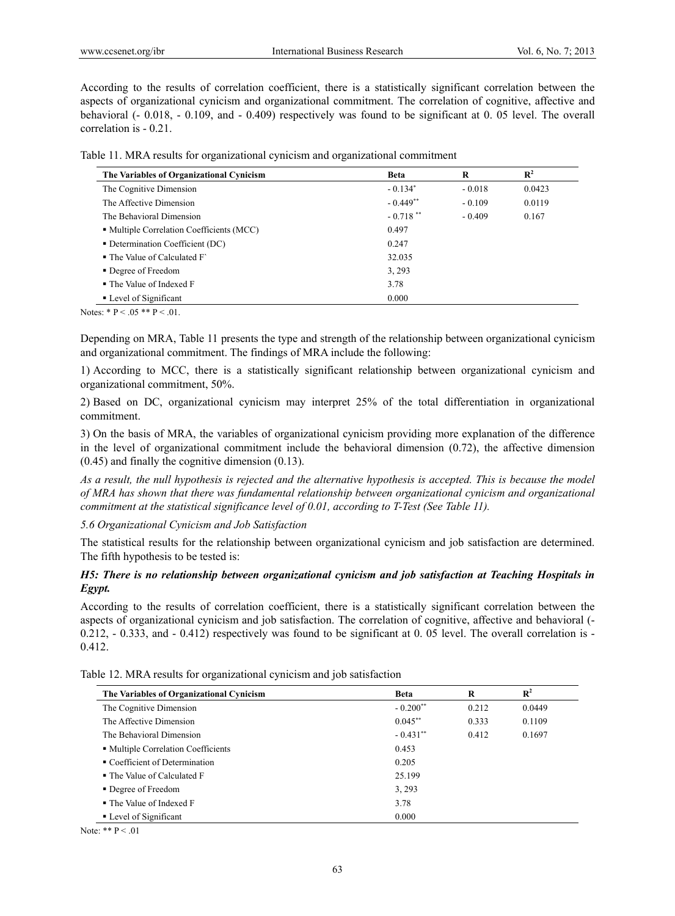According to the results of correlation coefficient, there is a statistically significant correlation between the aspects of organizational cynicism and organizational commitment. The correlation of cognitive, affective and behavioral (- 0.018, - 0.109, and - 0.409) respectively was found to be significant at 0. 05 level. The overall correlation is - 0.21.

|  |  | Table 11. MRA results for organizational cynicism and organizational commitment |  |  |  |
|--|--|---------------------------------------------------------------------------------|--|--|--|
|  |  |                                                                                 |  |  |  |

| The Variables of Organizational Cynicism  | <b>Beta</b>            | R        | $\mathbb{R}^2$ |
|-------------------------------------------|------------------------|----------|----------------|
| The Cognitive Dimension                   | $-0.134*$              | $-0.018$ | 0.0423         |
| The Affective Dimension                   | $-0.449**$             | $-0.109$ | 0.0119         |
| The Behavioral Dimension                  | $-0.718$ <sup>**</sup> | $-0.409$ | 0.167          |
| • Multiple Correlation Coefficients (MCC) | 0.497                  |          |                |
| • Determination Coefficient (DC)          | 0.247                  |          |                |
| $\blacksquare$ The Value of Calculated F  | 32.035                 |          |                |
| • Degree of Freedom                       | 3, 293                 |          |                |
| • The Value of Indexed F                  | 3.78                   |          |                |
| ■ Level of Significant                    | 0.000                  |          |                |

Notes:  $* P < 0.6 ** P < 0.01$ .

Depending on MRA, Table 11 presents the type and strength of the relationship between organizational cynicism and organizational commitment. The findings of MRA include the following:

1) According to MCC, there is a statistically significant relationship between organizational cynicism and organizational commitment, 50%.

2) Based on DC, organizational cynicism may interpret 25% of the total differentiation in organizational commitment.

3) On the basis of MRA, the variables of organizational cynicism providing more explanation of the difference in the level of organizational commitment include the behavioral dimension (0.72), the affective dimension (0.45) and finally the cognitive dimension (0.13).

*As a result, the null hypothesis is rejected and the alternative hypothesis is accepted. This is because the model of MRA has shown that there was fundamental relationship between organizational cynicism and organizational commitment at the statistical significance level of 0.01, according to T-Test (See Table 11).* 

*5.6 Organizational Cynicism and Job Satisfaction* 

The statistical results for the relationship between organizational cynicism and job satisfaction are determined. The fifth hypothesis to be tested is:

# *H5: There is no relationship between organizational cynicism and job satisfaction at Teaching Hospitals in Egypt.*

According to the results of correlation coefficient, there is a statistically significant correlation between the aspects of organizational cynicism and job satisfaction. The correlation of cognitive, affective and behavioral (- 0.212, - 0.333, and - 0.412) respectively was found to be significant at 0. 05 level. The overall correlation is - 0.412.

| The Variables of Organizational Cynicism | <b>Beta</b> | R     | $\mathbf{R}^2$ |
|------------------------------------------|-------------|-------|----------------|
| The Cognitive Dimension                  | $-0.200**$  | 0.212 | 0.0449         |
| The Affective Dimension                  | $0.045***$  | 0.333 | 0.1109         |
| The Behavioral Dimension                 | $-0.431$ ** | 0.412 | 0.1697         |
| • Multiple Correlation Coefficients      | 0.453       |       |                |
| • Coefficient of Determination           | 0.205       |       |                |
| • The Value of Calculated F              | 25.199      |       |                |
| • Degree of Freedom                      | 3, 293      |       |                |
| • The Value of Indexed F                 | 3.78        |       |                |
| ■ Level of Significant                   | 0.000       |       |                |

Note:  $** P < .01$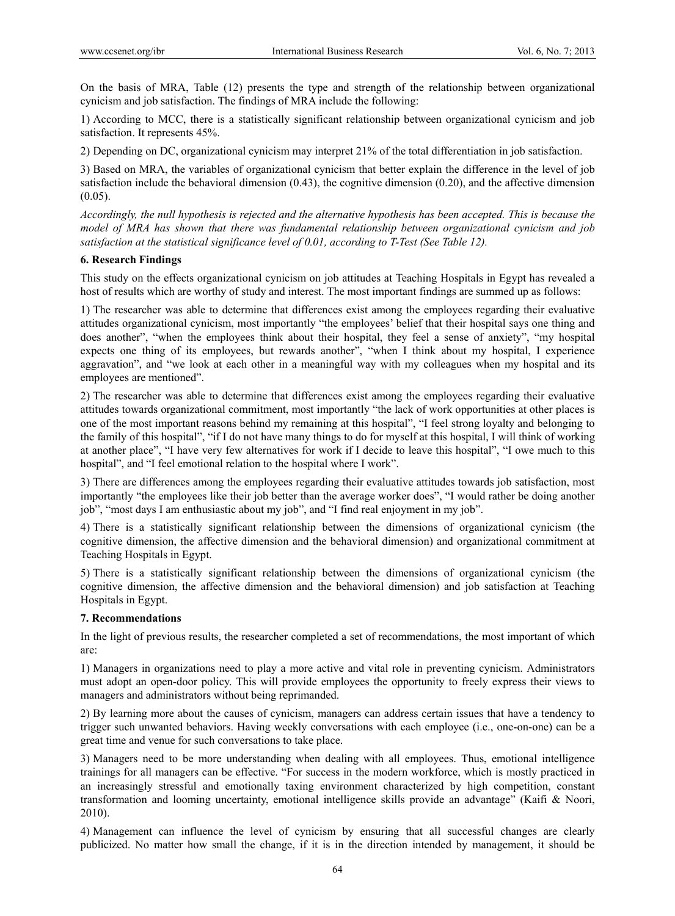On the basis of MRA, Table (12) presents the type and strength of the relationship between organizational cynicism and job satisfaction. The findings of MRA include the following:

1) According to MCC, there is a statistically significant relationship between organizational cynicism and job satisfaction. It represents 45%.

2) Depending on DC, organizational cynicism may interpret 21% of the total differentiation in job satisfaction.

3) Based on MRA, the variables of organizational cynicism that better explain the difference in the level of job satisfaction include the behavioral dimension (0.43), the cognitive dimension (0.20), and the affective dimension  $(0.05)$ .

*Accordingly, the null hypothesis is rejected and the alternative hypothesis has been accepted. This is because the model of MRA has shown that there was fundamental relationship between organizational cynicism and job satisfaction at the statistical significance level of 0.01, according to T-Test (See Table 12).* 

## **6. Research Findings**

This study on the effects organizational cynicism on job attitudes at Teaching Hospitals in Egypt has revealed a host of results which are worthy of study and interest. The most important findings are summed up as follows:

1) The researcher was able to determine that differences exist among the employees regarding their evaluative attitudes organizational cynicism, most importantly "the employees' belief that their hospital says one thing and does another", "when the employees think about their hospital, they feel a sense of anxiety", "my hospital expects one thing of its employees, but rewards another", "when I think about my hospital, I experience aggravation", and "we look at each other in a meaningful way with my colleagues when my hospital and its employees are mentioned".

2) The researcher was able to determine that differences exist among the employees regarding their evaluative attitudes towards organizational commitment, most importantly "the lack of work opportunities at other places is one of the most important reasons behind my remaining at this hospital", "I feel strong loyalty and belonging to the family of this hospital", "if I do not have many things to do for myself at this hospital, I will think of working at another place", "I have very few alternatives for work if I decide to leave this hospital", "I owe much to this hospital", and "I feel emotional relation to the hospital where I work".

3) There are differences among the employees regarding their evaluative attitudes towards job satisfaction, most importantly "the employees like their job better than the average worker does", "I would rather be doing another job", "most days I am enthusiastic about my job", and "I find real enjoyment in my job".

4) There is a statistically significant relationship between the dimensions of organizational cynicism (the cognitive dimension, the affective dimension and the behavioral dimension) and organizational commitment at Teaching Hospitals in Egypt.

5) There is a statistically significant relationship between the dimensions of organizational cynicism (the cognitive dimension, the affective dimension and the behavioral dimension) and job satisfaction at Teaching Hospitals in Egypt.

# **7. Recommendations**

In the light of previous results, the researcher completed a set of recommendations, the most important of which are:

1) Managers in organizations need to play a more active and vital role in preventing cynicism. Administrators must adopt an open-door policy. This will provide employees the opportunity to freely express their views to managers and administrators without being reprimanded.

2) By learning more about the causes of cynicism, managers can address certain issues that have a tendency to trigger such unwanted behaviors. Having weekly conversations with each employee (i.e., one-on-one) can be a great time and venue for such conversations to take place.

3) Managers need to be more understanding when dealing with all employees. Thus, emotional intelligence trainings for all managers can be effective. "For success in the modern workforce, which is mostly practiced in an increasingly stressful and emotionally taxing environment characterized by high competition, constant transformation and looming uncertainty, emotional intelligence skills provide an advantage" (Kaifi & Noori, 2010).

4) Management can influence the level of cynicism by ensuring that all successful changes are clearly publicized. No matter how small the change, if it is in the direction intended by management, it should be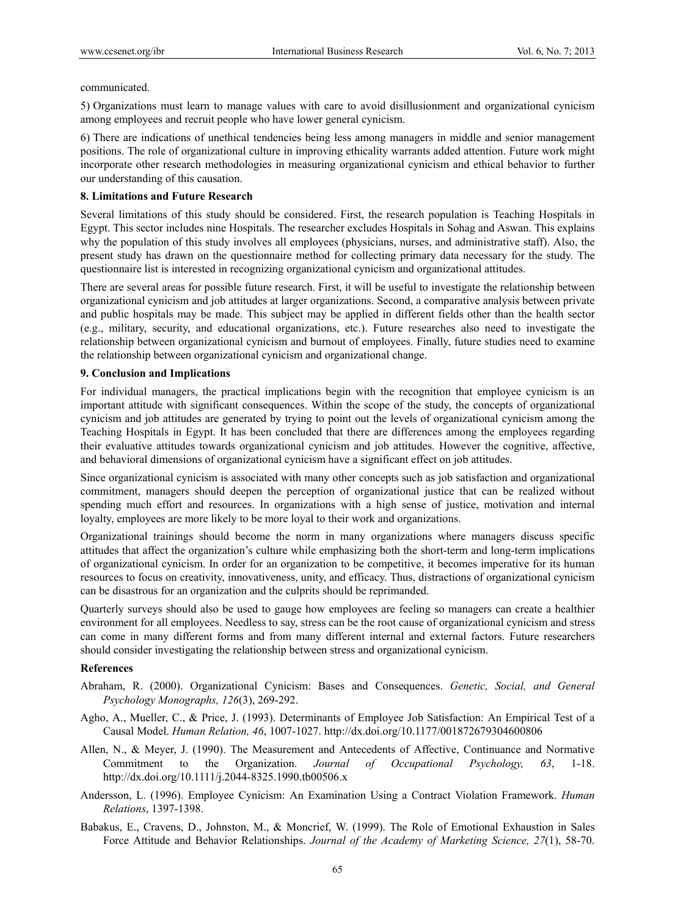communicated.

5) Organizations must learn to manage values with care to avoid disillusionment and organizational cynicism among employees and recruit people who have lower general cynicism.

6) There are indications of unethical tendencies being less among managers in middle and senior management positions. The role of organizational culture in improving ethicality warrants added attention. Future work might incorporate other research methodologies in measuring organizational cynicism and ethical behavior to further our understanding of this causation.

### **8. Limitations and Future Research**

Several limitations of this study should be considered. First, the research population is Teaching Hospitals in Egypt. This sector includes nine Hospitals. The researcher excludes Hospitals in Sohag and Aswan. This explains why the population of this study involves all employees (physicians, nurses, and administrative staff). Also, the present study has drawn on the questionnaire method for collecting primary data necessary for the study. The questionnaire list is interested in recognizing organizational cynicism and organizational attitudes.

There are several areas for possible future research. First, it will be useful to investigate the relationship between organizational cynicism and job attitudes at larger organizations. Second, a comparative analysis between private and public hospitals may be made. This subject may be applied in different fields other than the health sector (e.g., military, security, and educational organizations, etc.). Future researches also need to investigate the relationship between organizational cynicism and burnout of employees. Finally, future studies need to examine the relationship between organizational cynicism and organizational change.

## **9. Conclusion and Implications**

For individual managers, the practical implications begin with the recognition that employee cynicism is an important attitude with significant consequences. Within the scope of the study, the concepts of organizational cynicism and job attitudes are generated by trying to point out the levels of organizational cynicism among the Teaching Hospitals in Egypt. It has been concluded that there are differences among the employees regarding their evaluative attitudes towards organizational cynicism and job attitudes. However the cognitive, affective, and behavioral dimensions of organizational cynicism have a significant effect on job attitudes.

Since organizational cynicism is associated with many other concepts such as job satisfaction and organizational commitment, managers should deepen the perception of organizational justice that can be realized without spending much effort and resources. In organizations with a high sense of justice, motivation and internal loyalty, employees are more likely to be more loyal to their work and organizations.

Organizational trainings should become the norm in many organizations where managers discuss specific attitudes that affect the organization's culture while emphasizing both the short-term and long-term implications of organizational cynicism. In order for an organization to be competitive, it becomes imperative for its human resources to focus on creativity, innovativeness, unity, and efficacy. Thus, distractions of organizational cynicism can be disastrous for an organization and the culprits should be reprimanded.

Quarterly surveys should also be used to gauge how employees are feeling so managers can create a healthier environment for all employees. Needless to say, stress can be the root cause of organizational cynicism and stress can come in many different forms and from many different internal and external factors. Future researchers should consider investigating the relationship between stress and organizational cynicism.

### **References**

- Abraham, R. (2000). Organizational Cynicism: Bases and Consequences. *Genetic, Social, and General Psychology Monographs, 126*(3), 269-292.
- Agho, A., Mueller, C., & Price, J. (1993). Determinants of Employee Job Satisfaction: An Empirical Test of a Causal Model. *Human Relation, 46*, 1007-1027. http://dx.doi.org/10.1177/001872679304600806
- Allen, N., & Meyer, J. (1990). The Measurement and Antecedents of Affective, Continuance and Normative Commitment to the Organization. *Journal of Occupational Psychology, 63*, 1-18. http://dx.doi.org/10.1111/j.2044-8325.1990.tb00506.x
- Andersson, L. (1996). Employee Cynicism: An Examination Using a Contract Violation Framework. *Human Relations*, 1397-1398.
- Babakus, E., Cravens, D., Johnston, M., & Moncrief, W. (1999). The Role of Emotional Exhaustion in Sales Force Attitude and Behavior Relationships. *Journal of the Academy of Marketing Science, 27*(1), 58-70.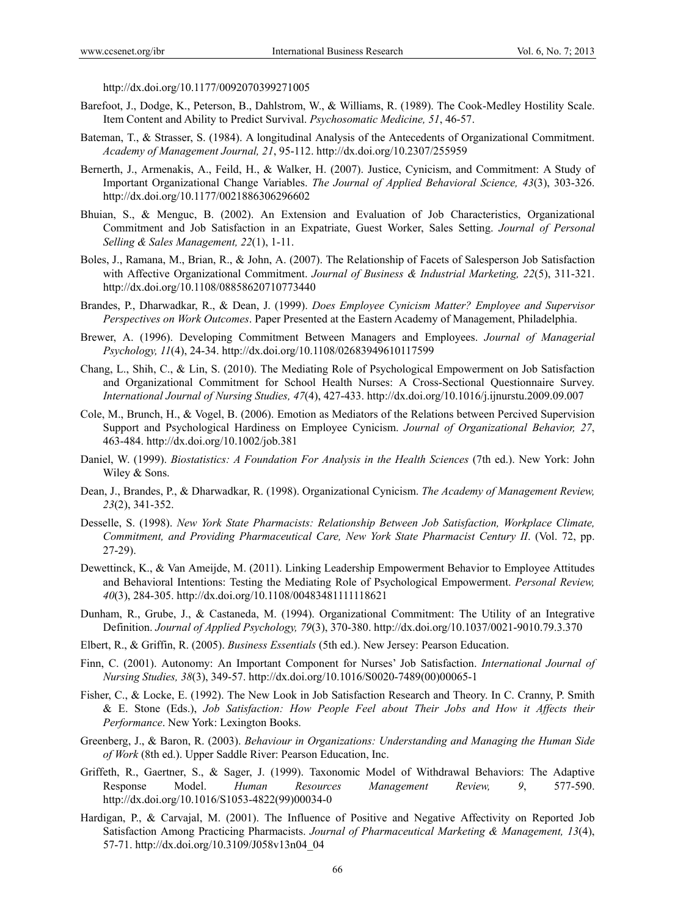http://dx.doi.org/10.1177/0092070399271005

- Barefoot, J., Dodge, K., Peterson, B., Dahlstrom, W., & Williams, R. (1989). The Cook-Medley Hostility Scale. Item Content and Ability to Predict Survival. *Psychosomatic Medicine, 51*, 46-57.
- Bateman, T., & Strasser, S. (1984). A longitudinal Analysis of the Antecedents of Organizational Commitment. *Academy of Management Journal, 21*, 95-112. http://dx.doi.org/10.2307/255959
- Bernerth, J., Armenakis, A., Feild, H., & Walker, H. (2007). Justice, Cynicism, and Commitment: A Study of Important Organizational Change Variables. *The Journal of Applied Behavioral Science, 43*(3), 303-326. http://dx.doi.org/10.1177/0021886306296602
- Bhuian, S., & Menguc, B. (2002). An Extension and Evaluation of Job Characteristics, Organizational Commitment and Job Satisfaction in an Expatriate, Guest Worker, Sales Setting. *Journal of Personal Selling & Sales Management, 22*(1), 1-11.
- Boles, J., Ramana, M., Brian, R., & John, A. (2007). The Relationship of Facets of Salesperson Job Satisfaction with Affective Organizational Commitment. *Journal of Business & Industrial Marketing, 22*(5), 311-321. http://dx.doi.org/10.1108/08858620710773440
- Brandes, P., Dharwadkar, R., & Dean, J. (1999). *Does Employee Cynicism Matter? Employee and Supervisor Perspectives on Work Outcomes*. Paper Presented at the Eastern Academy of Management, Philadelphia.
- Brewer, A. (1996). Developing Commitment Between Managers and Employees. *Journal of Managerial Psychology, 11*(4), 24-34. http://dx.doi.org/10.1108/02683949610117599
- Chang, L., Shih, C., & Lin, S. (2010). The Mediating Role of Psychological Empowerment on Job Satisfaction and Organizational Commitment for School Health Nurses: A Cross-Sectional Questionnaire Survey. *International Journal of Nursing Studies, 47*(4), 427-433. http://dx.doi.org/10.1016/j.ijnurstu.2009.09.007
- Cole, M., Brunch, H., & Vogel, B. (2006). Emotion as Mediators of the Relations between Percived Supervision Support and Psychological Hardiness on Employee Cynicism. *Journal of Organizational Behavior, 27*, 463-484. http://dx.doi.org/10.1002/job.381
- Daniel, W. (1999). *Biostatistics: A Foundation For Analysis in the Health Sciences* (7th ed.). New York: John Wiley & Sons.
- Dean, J., Brandes, P., & Dharwadkar, R. (1998). Organizational Cynicism. *The Academy of Management Review, 23*(2), 341-352.
- Desselle, S. (1998). *New York State Pharmacists: Relationship Between Job Satisfaction, Workplace Climate, Commitment, and Providing Pharmaceutical Care, New York State Pharmacist Century II*. (Vol. 72, pp. 27-29).
- Dewettinck, K., & Van Ameijde, M. (2011). Linking Leadership Empowerment Behavior to Employee Attitudes and Behavioral Intentions: Testing the Mediating Role of Psychological Empowerment. *Personal Review, 40*(3), 284-305. http://dx.doi.org/10.1108/00483481111118621
- Dunham, R., Grube, J., & Castaneda, M. (1994). Organizational Commitment: The Utility of an Integrative Definition. *Journal of Applied Psychology, 79*(3), 370-380. http://dx.doi.org/10.1037/0021-9010.79.3.370
- Elbert, R., & Griffin, R. (2005). *Business Essentials* (5th ed.). New Jersey: Pearson Education.
- Finn, C. (2001). Autonomy: An Important Component for Nurses' Job Satisfaction. *International Journal of Nursing Studies, 38*(3), 349-57. http://dx.doi.org/10.1016/S0020-7489(00)00065-1
- Fisher, C., & Locke, E. (1992). The New Look in Job Satisfaction Research and Theory. In C. Cranny, P. Smith & E. Stone (Eds.), *Job Satisfaction: How People Feel about Their Jobs and How it Affects their Performance*. New York: Lexington Books.
- Greenberg, J., & Baron, R. (2003). *Behaviour in Organizations: Understanding and Managing the Human Side of Work* (8th ed.). Upper Saddle River: Pearson Education, Inc.
- Griffeth, R., Gaertner, S., & Sager, J. (1999). Taxonomic Model of Withdrawal Behaviors: The Adaptive Response Model. *Human Resources Management Review, 9*, 577-590. http://dx.doi.org/10.1016/S1053-4822(99)00034-0
- Hardigan, P., & Carvajal, M. (2001). The Influence of Positive and Negative Affectivity on Reported Job Satisfaction Among Practicing Pharmacists. *Journal of Pharmaceutical Marketing & Management, 13*(4), 57-71. http://dx.doi.org/10.3109/J058v13n04\_04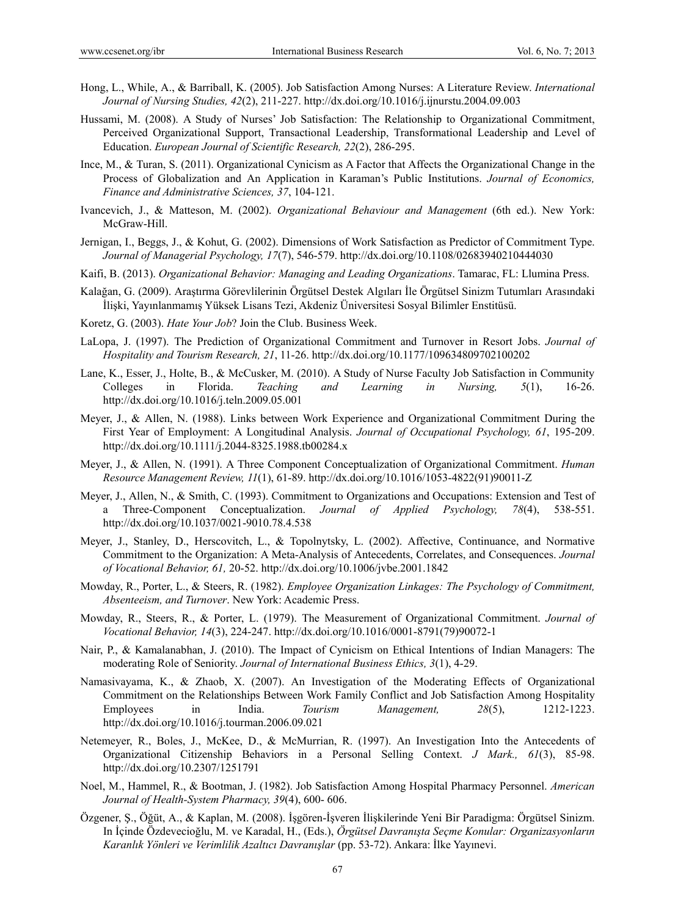- Hong, L., While, A., & Barriball, K. (2005). Job Satisfaction Among Nurses: A Literature Review. *International Journal of Nursing Studies, 42*(2), 211-227. http://dx.doi.org/10.1016/j.ijnurstu.2004.09.003
- Hussami, M. (2008). A Study of Nurses' Job Satisfaction: The Relationship to Organizational Commitment, Perceived Organizational Support, Transactional Leadership, Transformational Leadership and Level of Education. *European Journal of Scientific Research, 22*(2), 286-295.
- Ince, M., & Turan, S. (2011). Organizational Cynicism as A Factor that Affects the Organizational Change in the Process of Globalization and An Application in Karaman's Public Institutions. *Journal of Economics, Finance and Administrative Sciences, 37*, 104-121.
- Ivancevich, J., & Matteson, M. (2002). *Organizational Behaviour and Management* (6th ed.). New York: McGraw-Hill.
- Jernigan, I., Beggs, J., & Kohut, G. (2002). Dimensions of Work Satisfaction as Predictor of Commitment Type. *Journal of Managerial Psychology, 17*(7), 546-579. http://dx.doi.org/10.1108/02683940210444030
- Kaifi, B. (2013). *Organizational Behavior: Managing and Leading Organizations*. Tamarac, FL: Llumina Press.
- Kalağan, G. (2009). Araştırma Görevlilerinin Örgütsel Destek Algıları İle Örgütsel Sinizm Tutumları Arasındaki İlişki, Yayınlanmamış Yüksek Lisans Tezi, Akdeniz Üniversitesi Sosyal Bilimler Enstitüsü.
- Koretz, G. (2003). *Hate Your Job*? Join the Club. Business Week.
- LaLopa, J. (1997). The Prediction of Organizational Commitment and Turnover in Resort Jobs. *Journal of Hospitality and Tourism Research, 21*, 11-26. http://dx.doi.org/10.1177/109634809702100202
- Lane, K., Esser, J., Holte, B., & McCusker, M. (2010). A Study of Nurse Faculty Job Satisfaction in Community Colleges in Florida. *Teaching and Learning in Nursing, 5*(1), 16-26. http://dx.doi.org/10.1016/j.teln.2009.05.001
- Meyer, J., & Allen, N. (1988). Links between Work Experience and Organizational Commitment During the First Year of Employment: A Longitudinal Analysis. *Journal of Occupational Psychology, 61*, 195-209. http://dx.doi.org/10.1111/j.2044-8325.1988.tb00284.x
- Meyer, J., & Allen, N. (1991). A Three Component Conceptualization of Organizational Commitment. *Human Resource Management Review, 11*(1), 61-89. http://dx.doi.org/10.1016/1053-4822(91)90011-Z
- Meyer, J., Allen, N., & Smith, C. (1993). Commitment to Organizations and Occupations: Extension and Test of a Three-Component Conceptualization. *Journal of Applied Psychology, 78*(4), 538-551. http://dx.doi.org/10.1037/0021-9010.78.4.538
- Meyer, J., Stanley, D., Herscovitch, L., & Topolnytsky, L. (2002). Affective, Continuance, and Normative Commitment to the Organization: A Meta-Analysis of Antecedents, Correlates, and Consequences. *Journal of Vocational Behavior, 61,* 20-52. http://dx.doi.org/10.1006/jvbe.2001.1842
- Mowday, R., Porter, L., & Steers, R. (1982). *Employee Organization Linkages: The Psychology of Commitment, Absenteeism, and Turnover*. New York: Academic Press.
- Mowday, R., Steers, R., & Porter, L. (1979). The Measurement of Organizational Commitment. *Journal of Vocational Behavior, 14*(3), 224-247. http://dx.doi.org/10.1016/0001-8791(79)90072-1
- Nair, P., & Kamalanabhan, J. (2010). The Impact of Cynicism on Ethical Intentions of Indian Managers: The moderating Role of Seniority. *Journal of International Business Ethics, 3*(1), 4-29.
- Namasivayama, K., & Zhaob, X. (2007). An Investigation of the Moderating Effects of Organizational Commitment on the Relationships Between Work Family Conflict and Job Satisfaction Among Hospitality Employees in India. *Tourism Management, 28*(5), 1212-1223. http://dx.doi.org/10.1016/j.tourman.2006.09.021
- Netemeyer, R., Boles, J., McKee, D., & McMurrian, R. (1997). An Investigation Into the Antecedents of Organizational Citizenship Behaviors in a Personal Selling Context. *J Mark., 61*(3), 85-98. http://dx.doi.org/10.2307/1251791
- Noel, M., Hammel, R., & Bootman, J. (1982). Job Satisfaction Among Hospital Pharmacy Personnel. *American Journal of Health-System Pharmacy, 39*(4), 600- 606.
- Özgener, Ş., Öğüt, A., & Kaplan, M. (2008). İşgören-İşveren İlişkilerinde Yeni Bir Paradigma: Örgütsel Sinizm. In İçinde Özdevecioğlu, M. ve Karadal, H., (Eds.), *Örgütsel Davranışta Seçme Konular: Organizasyonların Karanlık Yönleri ve Verimlilik Azaltıcı Davranışlar* (pp. 53-72). Ankara: İlke Yayınevi.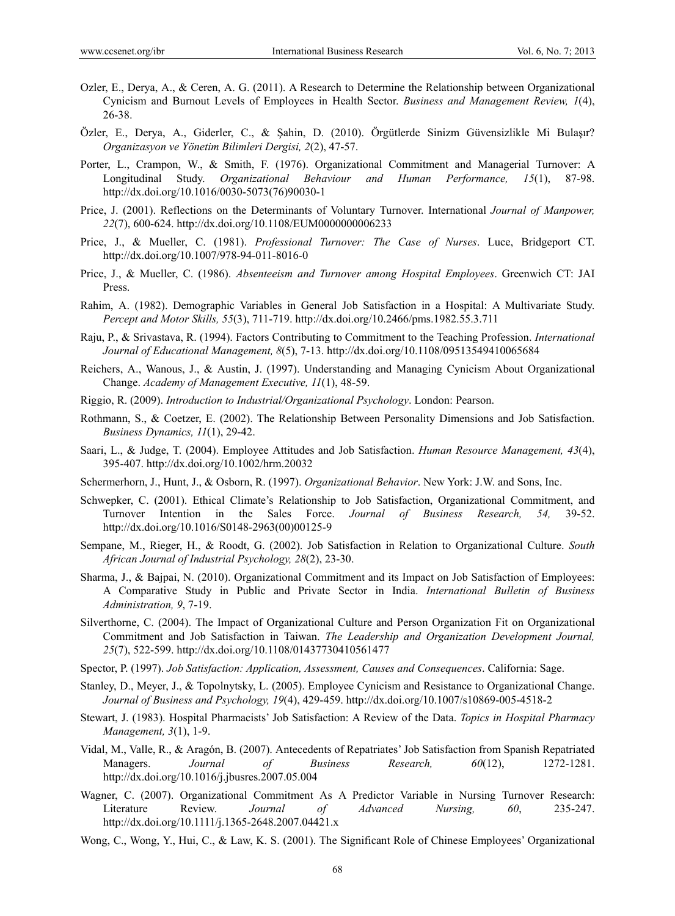- Ozler, E., Derya, A., & Ceren, A. G. (2011). A Research to Determine the Relationship between Organizational Cynicism and Burnout Levels of Employees in Health Sector. *Business and Management Review, 1*(4), 26-38.
- Özler, E., Derya, A., Giderler, C., & Şahin, D. (2010). Örgütlerde Sinizm Güvensizlikle Mi Bulaşır? *Organizasyon ve Yönetim Bilimleri Dergisi, 2*(2), 47-57.
- Porter, L., Crampon, W., & Smith, F. (1976). Organizational Commitment and Managerial Turnover: A Longitudinal Study. *Organizational Behaviour and Human Performance, 15*(1), 87-98. http://dx.doi.org/10.1016/0030-5073(76)90030-1
- Price, J. (2001). Reflections on the Determinants of Voluntary Turnover. International *Journal of Manpower, 22*(7), 600-624. http://dx.doi.org/10.1108/EUM0000000006233
- Price, J., & Mueller, C. (1981). *Professional Turnover: The Case of Nurses*. Luce, Bridgeport CT. http://dx.doi.org/10.1007/978-94-011-8016-0
- Price, J., & Mueller, C. (1986). *Absenteeism and Turnover among Hospital Employees*. Greenwich CT: JAI Press.
- Rahim, A. (1982). Demographic Variables in General Job Satisfaction in a Hospital: A Multivariate Study. *Percept and Motor Skills, 55*(3), 711-719. http://dx.doi.org/10.2466/pms.1982.55.3.711
- Raju, P., & Srivastava, R. (1994). Factors Contributing to Commitment to the Teaching Profession. *International Journal of Educational Management, 8*(5), 7-13. http://dx.doi.org/10.1108/09513549410065684
- Reichers, A., Wanous, J., & Austin, J. (1997). Understanding and Managing Cynicism About Organizational Change. *Academy of Management Executive, 11*(1), 48-59.
- Riggio, R. (2009). *Introduction to Industrial/Organizational Psychology*. London: Pearson.
- Rothmann, S., & Coetzer, E. (2002). The Relationship Between Personality Dimensions and Job Satisfaction. *Business Dynamics, 11*(1), 29-42.
- Saari, L., & Judge, T. (2004). Employee Attitudes and Job Satisfaction. *Human Resource Management, 43*(4), 395-407. http://dx.doi.org/10.1002/hrm.20032
- Schermerhorn, J., Hunt, J., & Osborn, R. (1997). *Organizational Behavior*. New York: J.W. and Sons, Inc.
- Schwepker, C. (2001). Ethical Climate's Relationship to Job Satisfaction, Organizational Commitment, and Turnover Intention in the Sales Force. *Journal of Business Research, 54,* 39-52. http://dx.doi.org/10.1016/S0148-2963(00)00125-9
- Sempane, M., Rieger, H., & Roodt, G. (2002). Job Satisfaction in Relation to Organizational Culture. *South African Journal of Industrial Psychology, 28*(2), 23-30.
- Sharma, J., & Bajpai, N. (2010). Organizational Commitment and its Impact on Job Satisfaction of Employees: A Comparative Study in Public and Private Sector in India. *International Bulletin of Business Administration, 9*, 7-19.
- Silverthorne, C. (2004). The Impact of Organizational Culture and Person Organization Fit on Organizational Commitment and Job Satisfaction in Taiwan. *The Leadership and Organization Development Journal, 25*(7), 522-599. http://dx.doi.org/10.1108/01437730410561477
- Spector, P. (1997). *Job Satisfaction: Application, Assessment, Causes and Consequences*. California: Sage.
- Stanley, D., Meyer, J., & Topolnytsky, L. (2005). Employee Cynicism and Resistance to Organizational Change. *Journal of Business and Psychology, 19*(4), 429-459. http://dx.doi.org/10.1007/s10869-005-4518-2
- Stewart, J. (1983). Hospital Pharmacists' Job Satisfaction: A Review of the Data. *Topics in Hospital Pharmacy Management, 3*(1), 1-9.
- Vidal, M., Valle, R., & Aragón, B. (2007). Antecedents of Repatriates' Job Satisfaction from Spanish Repatriated Managers. *Journal of Business Research, 60*(12), 1272-1281. http://dx.doi.org/10.1016/j.jbusres.2007.05.004
- Wagner, C. (2007). Organizational Commitment As A Predictor Variable in Nursing Turnover Research: Literature Review. *Journal of Advanced Nursing, 60*, 235-247. http://dx.doi.org/10.1111/j.1365-2648.2007.04421.x
- Wong, C., Wong, Y., Hui, C., & Law, K. S. (2001). The Significant Role of Chinese Employees' Organizational